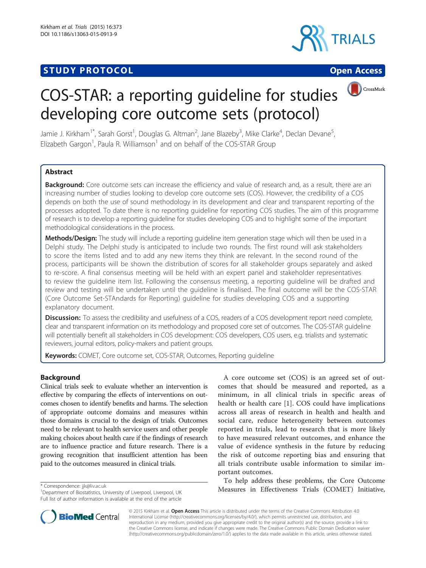# **STUDY PROTOCOL CONSUMING THE CONSUMING OPEN ACCESS**





# COS-STAR: a reporting guideline for studies developing core outcome sets (protocol)

Jamie J. Kirkham<sup>1\*</sup>, Sarah Gorst<sup>1</sup>, Douglas G. Altman<sup>2</sup>, Jane Blazeby<sup>3</sup>, Mike Clarke<sup>4</sup>, Declan Devane<sup>5</sup> , Elizabeth Gargon<sup>1</sup>, Paula R. Williamson<sup>1</sup> and on behalf of the COS-STAR Group

# **Abstract**

Background: Core outcome sets can increase the efficiency and value of research and, as a result, there are an increasing number of studies looking to develop core outcome sets (COS). However, the credibility of a COS depends on both the use of sound methodology in its development and clear and transparent reporting of the processes adopted. To date there is no reporting guideline for reporting COS studies. The aim of this programme of research is to develop a reporting guideline for studies developing COS and to highlight some of the important methodological considerations in the process.

Methods/Design: The study will include a reporting guideline item generation stage which will then be used in a Delphi study. The Delphi study is anticipated to include two rounds. The first round will ask stakeholders to score the items listed and to add any new items they think are relevant. In the second round of the process, participants will be shown the distribution of scores for all stakeholder groups separately and asked to re-score. A final consensus meeting will be held with an expert panel and stakeholder representatives to review the guideline item list. Following the consensus meeting, a reporting guideline will be drafted and review and testing will be undertaken until the guideline is finalised. The final outcome will be the COS-STAR (Core Outcome Set-STAndards for Reporting) guideline for studies developing COS and a supporting explanatory document.

**Discussion:** To assess the credibility and usefulness of a COS, readers of a COS development report need complete, clear and transparent information on its methodology and proposed core set of outcomes. The COS-STAR guideline will potentially benefit all stakeholders in COS development: COS developers, COS users, e.g. trialists and systematic reviewers, journal editors, policy-makers and patient groups.

Keywords: COMET, Core outcome set, COS-STAR, Outcomes, Reporting quideline

# Background

Clinical trials seek to evaluate whether an intervention is effective by comparing the effects of interventions on outcomes chosen to identify benefits and harms. The selection of appropriate outcome domains and measures within those domains is crucial to the design of trials. Outcomes need to be relevant to health service users and other people making choices about health care if the findings of research are to influence practice and future research. There is a growing recognition that insufficient attention has been paid to the outcomes measured in clinical trials.

<sup>1</sup> Department of Biostatistics, University of Liverpool, Liverpool, UK Full list of author information is available at the end of the article

A core outcome set (COS) is an agreed set of outcomes that should be measured and reported, as a minimum, in all clinical trials in specific areas of health or health care [\[1](#page-4-0)]. COS could have implications across all areas of research in health and health and social care, reduce heterogeneity between outcomes reported in trials, lead to research that is more likely to have measured relevant outcomes, and enhance the value of evidence synthesis in the future by reducing the risk of outcome reporting bias and ensuring that all trials contribute usable information to similar important outcomes.

To help address these problems, the Core Outcome Measures in Effectiveness Trials (COMET) Initiative, \* Correspondence: [jjk@liv.ac.uk](mailto:jjk@liv.ac.uk) <sup>1</sup>



© 2015 Kirkham et al. Open Access This article is distributed under the terms of the Creative Commons Attribution 4.0 International License [\(http://creativecommons.org/licenses/by/4.0/](http://creativecommons.org/licenses/by/4.0/)), which permits unrestricted use, distribution, and reproduction in any medium, provided you give appropriate credit to the original author(s) and the source, provide a link to the Creative Commons license, and indicate if changes were made. The Creative Commons Public Domain Dedication waiver [\(http://creativecommons.org/publicdomain/zero/1.0/](http://creativecommons.org/publicdomain/zero/1.0/)) applies to the data made available in this article, unless otherwise stated.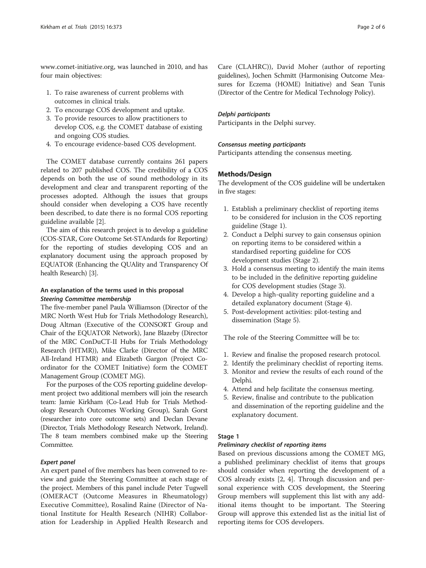[www.comet-initiative.org](http://www.comet-initiative.org/), was launched in 2010, and has four main objectives:

- 1. To raise awareness of current problems with outcomes in clinical trials.
- 2. To encourage COS development and uptake.
- 3. To provide resources to allow practitioners to develop COS, e.g. the COMET database of existing and ongoing COS studies.
- 4. To encourage evidence-based COS development.

The COMET database currently contains 261 papers related to 207 published COS. The credibility of a COS depends on both the use of sound methodology in its development and clear and transparent reporting of the processes adopted. Although the issues that groups should consider when developing a COS have recently been described, to date there is no formal COS reporting guideline available [[2\]](#page-4-0).

The aim of this research project is to develop a guideline (COS-STAR, Core Outcome Set-STAndards for Reporting) for the reporting of studies developing COS and an explanatory document using the approach proposed by EQUATOR (Enhancing the QUAlity and Transparency Of health Research) [[3](#page-5-0)].

# An explanation of the terms used in this proposal Steering Committee membership

The five-member panel Paula Williamson (Director of the MRC North West Hub for Trials Methodology Research), Doug Altman (Executive of the CONSORT Group and Chair of the EQUATOR Network), Jane Blazeby (Director of the MRC ConDuCT-II Hubs for Trials Methodology Research (HTMR)), Mike Clarke (Director of the MRC All-Ireland HTMR) and Elizabeth Gargon (Project Coordinator for the COMET Initiative) form the COMET Management Group (COMET MG).

For the purposes of the COS reporting guideline development project two additional members will join the research team: Jamie Kirkham (Co-Lead Hub for Trials Methodology Research Outcomes Working Group), Sarah Gorst (researcher into core outcome sets) and Declan Devane (Director, Trials Methodology Research Network, Ireland). The 8 team members combined make up the Steering Committee.

# Expert panel

An expert panel of five members has been convened to review and guide the Steering Committee at each stage of the project. Members of this panel include Peter Tugwell (OMERACT (Outcome Measures in Rheumatology) Executive Committee), Rosalind Raine (Director of National Institute for Health Research (NIHR) Collaboration for Leadership in Applied Health Research and Care (CLAHRC)), David Moher (author of reporting guidelines), Jochen Schmitt (Harmonising Outcome Measures for Eczema (HOME) Initiative) and Sean Tunis (Director of the Centre for Medical Technology Policy).

#### Delphi participants

Participants in the Delphi survey.

# Consensus meeting participants

Participants attending the consensus meeting.

## Methods/Design

The development of the COS guideline will be undertaken in five stages:

- 1. Establish a preliminary checklist of reporting items to be considered for inclusion in the COS reporting guideline (Stage 1).
- 2. Conduct a Delphi survey to gain consensus opinion on reporting items to be considered within a standardised reporting guideline for COS development studies (Stage 2).
- 3. Hold a consensus meeting to identify the main items to be included in the definitive reporting guideline for COS development studies (Stage 3).
- 4. Develop a high-quality reporting guideline and a detailed explanatory document (Stage 4).
- 5. Post-development activities: pilot-testing and dissemination (Stage 5).

The role of the Steering Committee will be to:

- 1. Review and finalise the proposed research protocol.
- 2. Identify the preliminary checklist of reporting items.
- 3. Monitor and review the results of each round of the Delphi.
- 4. Attend and help facilitate the consensus meeting.
- 5. Review, finalise and contribute to the publication and dissemination of the reporting guideline and the explanatory document.

#### Stage 1

#### Preliminary checklist of reporting items

Based on previous discussions among the COMET MG, a published preliminary checklist of items that groups should consider when reporting the development of a COS already exists [\[2](#page-4-0), [4](#page-5-0)]. Through discussion and personal experience with COS development, the Steering Group members will supplement this list with any additional items thought to be important. The Steering Group will approve this extended list as the initial list of reporting items for COS developers.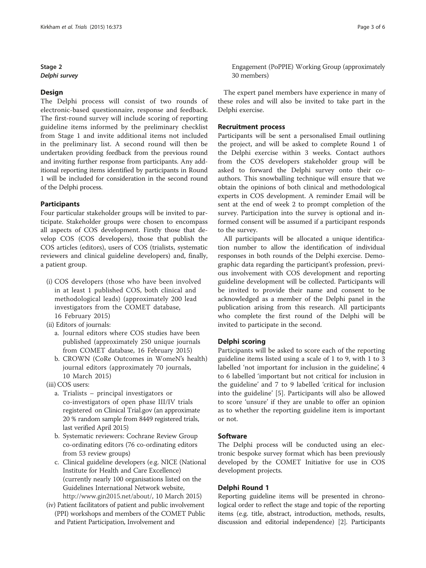# Stage 2 Delphi survey

## Design

The Delphi process will consist of two rounds of electronic-based questionnaire, response and feedback. The first-round survey will include scoring of reporting guideline items informed by the preliminary checklist from Stage 1 and invite additional items not included in the preliminary list. A second round will then be undertaken providing feedback from the previous round and inviting further response from participants. Any additional reporting items identified by participants in Round 1 will be included for consideration in the second round of the Delphi process.

#### Participants

Four particular stakeholder groups will be invited to participate. Stakeholder groups were chosen to encompass all aspects of COS development. Firstly those that develop COS (COS developers), those that publish the COS articles (editors), users of COS (trialists, systematic reviewers and clinical guideline developers) and, finally, a patient group.

- (i) COS developers (those who have been involved in at least 1 published COS, both clinical and methodological leads) (approximately 200 lead investigators from the COMET database, 16 February 2015)
- (ii) Editors of journals:
	- a. Journal editors where COS studies have been published (approximately 250 unique journals from COMET database, 16 February 2015)
	- b. CROWN (CoRe Outcomes in WomeN's health) journal editors (approximately 70 journals, 10 March 2015)
- (iii) COS users:
	- a. Trialists principal investigators or co-investigators of open phase III/IV trials registered on Clinical Trial.gov (an approximate 20 % random sample from 8449 registered trials, last verified April 2015)
	- b. Systematic reviewers: Cochrane Review Group co-ordinating editors (76 co-ordinating editors from 53 review groups)
	- c. Clinical guideline developers (e.g. NICE (National Institute for Health and Care Excellence) (currently nearly 100 organisations listed on the Guidelines International Network website, [http://www.gin2015.net/about/,](http://www.gin2015.net/about/) 10 March 2015)
- (iv) Patient facilitators of patient and public involvement (PPI) workshops and members of the COMET Public and Patient Participation, Involvement and

Engagement (PoPPIE) Working Group (approximately 30 members)

The expert panel members have experience in many of these roles and will also be invited to take part in the Delphi exercise.

#### Recruitment process

Participants will be sent a personalised Email outlining the project, and will be asked to complete Round 1 of the Delphi exercise within 3 weeks. Contact authors from the COS developers stakeholder group will be asked to forward the Delphi survey onto their coauthors. This snowballing technique will ensure that we obtain the opinions of both clinical and methodological experts in COS development. A reminder Email will be sent at the end of week 2 to prompt completion of the survey. Participation into the survey is optional and informed consent will be assumed if a participant responds to the survey.

All participants will be allocated a unique identification number to allow the identification of individual responses in both rounds of the Delphi exercise. Demographic data regarding the participant's profession, previous involvement with COS development and reporting guideline development will be collected. Participants will be invited to provide their name and consent to be acknowledged as a member of the Delphi panel in the publication arising from this research. All participants who complete the first round of the Delphi will be invited to participate in the second.

## Delphi scoring

Participants will be asked to score each of the reporting guideline items listed using a scale of 1 to 9, with 1 to 3 labelled 'not important for inclusion in the guideline', 4 to 6 labelled 'important but not critical for inclusion in the guideline' and 7 to 9 labelled 'critical for inclusion into the guideline' [\[5](#page-5-0)]. Participants will also be allowed to score 'unsure' if they are unable to offer an opinion as to whether the reporting guideline item is important or not.

#### Software

The Delphi process will be conducted using an electronic bespoke survey format which has been previously developed by the COMET Initiative for use in COS development projects.

#### Delphi Round 1

Reporting guideline items will be presented in chronological order to reflect the stage and topic of the reporting items (e.g. title, abstract, introduction, methods, results, discussion and editorial independence) [\[2\]](#page-4-0). Participants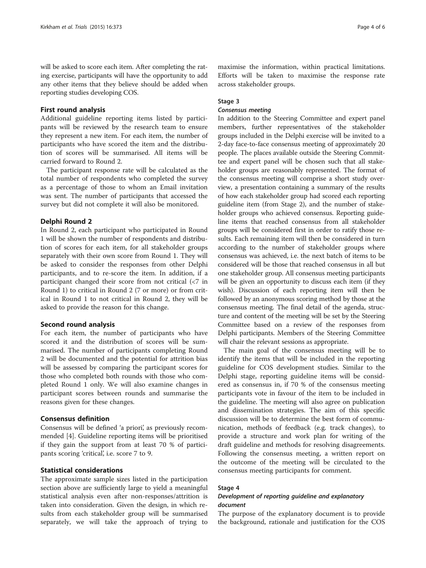will be asked to score each item. After completing the rating exercise, participants will have the opportunity to add any other items that they believe should be added when reporting studies developing COS.

#### First round analysis

Additional guideline reporting items listed by participants will be reviewed by the research team to ensure they represent a new item. For each item, the number of participants who have scored the item and the distribution of scores will be summarised. All items will be carried forward to Round 2.

The participant response rate will be calculated as the total number of respondents who completed the survey as a percentage of those to whom an Email invitation was sent. The number of participants that accessed the survey but did not complete it will also be monitored.

#### Delphi Round 2

In Round 2, each participant who participated in Round 1 will be shown the number of respondents and distribution of scores for each item, for all stakeholder groups separately with their own score from Round 1. They will be asked to consider the responses from other Delphi participants, and to re-score the item. In addition, if a participant changed their score from not critical (<7 in Round 1) to critical in Round 2 (7 or more) or from critical in Round 1 to not critical in Round 2, they will be asked to provide the reason for this change.

#### Second round analysis

For each item, the number of participants who have scored it and the distribution of scores will be summarised. The number of participants completing Round 2 will be documented and the potential for attrition bias will be assessed by comparing the participant scores for those who completed both rounds with those who completed Round 1 only. We will also examine changes in participant scores between rounds and summarise the reasons given for these changes.

#### Consensus definition

Consensus will be defined 'a priori', as previously recommended [[4\]](#page-5-0). Guideline reporting items will be prioritised if they gain the support from at least 70 % of participants scoring 'critical', i.e. score 7 to 9.

#### Statistical considerations

The approximate sample sizes listed in the participation section above are sufficiently large to yield a meaningful statistical analysis even after non-responses/attrition is taken into consideration. Given the design, in which results from each stakeholder group will be summarised separately, we will take the approach of trying to

maximise the information, within practical limitations. Efforts will be taken to maximise the response rate across stakeholder groups.

#### Stage 3

#### Consensus meeting

In addition to the Steering Committee and expert panel members, further representatives of the stakeholder groups included in the Delphi exercise will be invited to a 2-day face-to-face consensus meeting of approximately 20 people. The places available outside the Steering Committee and expert panel will be chosen such that all stakeholder groups are reasonably represented. The format of the consensus meeting will comprise a short study overview, a presentation containing a summary of the results of how each stakeholder group had scored each reporting guideline item (from Stage 2), and the number of stakeholder groups who achieved consensus. Reporting guideline items that reached consensus from all stakeholder groups will be considered first in order to ratify those results. Each remaining item will then be considered in turn according to the number of stakeholder groups where consensus was achieved, i.e. the next batch of items to be considered will be those that reached consensus in all but one stakeholder group. All consensus meeting participants will be given an opportunity to discuss each item (if they wish). Discussion of each reporting item will then be followed by an anonymous scoring method by those at the consensus meeting. The final detail of the agenda, structure and content of the meeting will be set by the Steering Committee based on a review of the responses from Delphi participants. Members of the Steering Committee will chair the relevant sessions as appropriate.

The main goal of the consensus meeting will be to identify the items that will be included in the reporting guideline for COS development studies. Similar to the Delphi stage, reporting guideline items will be considered as consensus in, if 70 % of the consensus meeting participants vote in favour of the item to be included in the guideline. The meeting will also agree on publication and dissemination strategies. The aim of this specific discussion will be to determine the best form of communication, methods of feedback (e.g. track changes), to provide a structure and work plan for writing of the draft guideline and methods for resolving disagreements. Following the consensus meeting, a written report on the outcome of the meeting will be circulated to the consensus meeting participants for comment.

#### Stage 4

# Development of reporting guideline and explanatory document

The purpose of the explanatory document is to provide the background, rationale and justification for the COS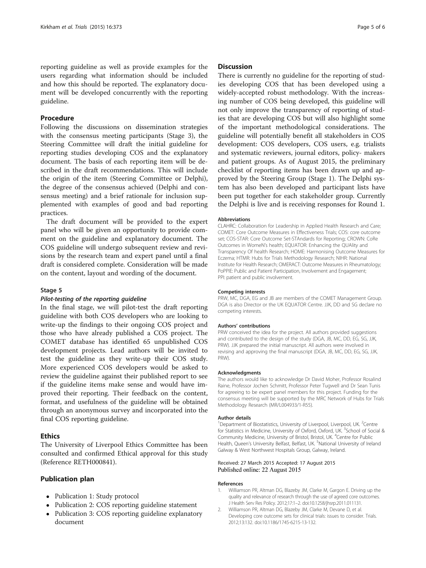#### <span id="page-4-0"></span>Procedure

Following the discussions on dissemination strategies with the consensus meeting participants (Stage 3), the Steering Committee will draft the initial guideline for reporting studies developing COS and the explanatory document. The basis of each reporting item will be described in the draft recommendations. This will include the origin of the item (Steering Committee or Delphi), the degree of the consensus achieved (Delphi and consensus meeting) and a brief rationale for inclusion supplemented with examples of good and bad reporting practices.

The draft document will be provided to the expert panel who will be given an opportunity to provide comment on the guideline and explanatory document. The COS guideline will undergo subsequent review and revisions by the research team and expert panel until a final draft is considered complete. Consideration will be made on the content, layout and wording of the document.

#### Stage 5

#### Pilot-testing of the reporting guideline

In the final stage, we will pilot-test the draft reporting guideline with both COS developers who are looking to write-up the findings to their ongoing COS project and those who have already published a COS project. The COMET database has identified 65 unpublished COS development projects. Lead authors will be invited to test the guideline as they write-up their COS study. More experienced COS developers would be asked to review the guideline against their published report to see if the guideline items make sense and would have improved their reporting. Their feedback on the content, format, and usefulness of the guideline will be obtained through an anonymous survey and incorporated into the final COS reporting guideline.

#### Ethics

The University of Liverpool Ethics Committee has been consulted and confirmed Ethical approval for this study (Reference RETH000841).

## Publication plan

- Publication 1: Study protocol
- Publication 2: COS reporting guideline statement
- Publication 3: COS reporting guideline explanatory document

#### **Discussion**

There is currently no guideline for the reporting of studies developing COS that has been developed using a widely-accepted robust methodology. With the increasing number of COS being developed, this guideline will not only improve the transparency of reporting of studies that are developing COS but will also highlight some of the important methodological considerations. The guideline will potentially benefit all stakeholders in COS development: COS developers, COS users, e.g. trialists and systematic reviewers, journal editors, policy- makers and patient groups. As of August 2015, the preliminary checklist of reporting items has been drawn up and approved by the Steering Group (Stage 1). The Delphi system has also been developed and participant lists have been put together for each stakeholder group. Currently the Delphi is live and is receiving responses for Round 1.

#### Abbreviations

CLAHRC: Collaboration for Leadership in Applied Health Research and Care; COMET: Core Outcome Measures in Effectiveness Trials; COS: core outcome set; COS-STAR: Core Outcome Set-STAndards for Reporting; CROWN: CoRe Outcomes in WomeN's health; EQUATOR: Enhancing the QUAlity and Transparency Of health Research; HOME: Harmonising Outcome Measures for Eczema; HTMR: Hubs for Trials Methodology Research; NIHR: National Institute for Health Research; OMERACT: Outcome Measures in Rheumatology; PoPPIE: Public and Patient Participation, Involvement and Engagement; PPI: patient and public involvement.

#### Competing interests

PRW, MC, DGA, EG and JB are members of the COMET Management Group. DGA is also Director or the UK EQUATOR Centre. JJK, DD and SG declare no competing interests.

#### Authors' contributions

PRW conceived the idea for the project. All authors provided suggestions and contributed to the design of the study (DGA, JB, MC, DD, EG, SG, JJK, PRW). JJK prepared the initial manuscript. All authors were involved in revising and approving the final manuscript (DGA, JB, MC, DD, EG, SG, JJK, PRW).

#### Acknowledgments

The authors would like to acknowledge Dr David Moher, Professor Rosalind Raine, Professor Jochen Schmitt, Professor Peter Tugwell and Dr Sean Tunis for agreeing to be expert panel members for this project. Funding for the consensus meeting will be supported by the MRC Network of Hubs for Trials Methodology Research (MR/L004933/1-R55).

#### Author details

<sup>1</sup>Department of Biostatistics, University of Liverpool, Liverpool, UK. <sup>2</sup>Centre for Statistics in Medicine, University of Oxford, Oxford, UK. <sup>3</sup>School of Social & Community Medicine, University of Bristol, Bristol, UK. <sup>4</sup>Centre for Public Health, Queen's University Belfast, Belfast, UK. <sup>5</sup>National University of Ireland Galway & West Northwest Hospitals Group, Galway, Ireland.

#### Received: 27 March 2015 Accepted: 17 August 2015 Published online: 22 August 2015

#### References

- 1. Williamson PR, Altman DG, Blazeby JM, Clarke M, Gargon E. Driving up the quality and relevance of research through the use of agreed core outcomes. J Health Serv Res Policy. 2012;17:1–2. doi:[10.1258/jhsrp.2011.011131.](http://dx.doi.org/10.1258/jhsrp.2011.011131)
- 2. Williamson PR, Altman DG, Blazeby JM, Clarke M, Devane D, et al. Developing core outcome sets for clinical trials: issues to consider. Trials. 2012;13:132. doi[:10.1186/1745-6215-13-132](http://dx.doi.org/10.1186/1745-6215-13-132).